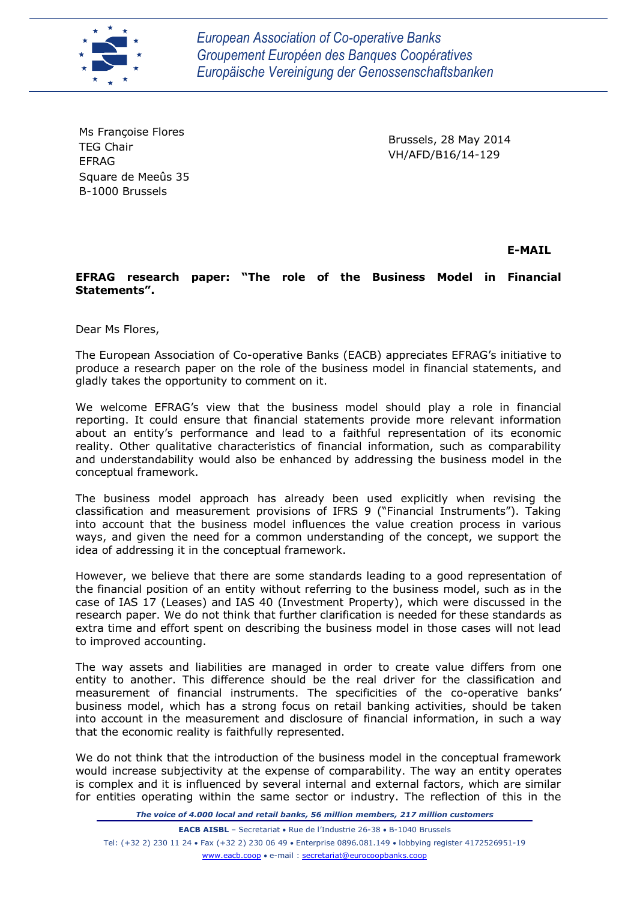

*European Association of Co-operative Banks Groupement Européen des Banques Coopératives Europäische Vereinigung der Genossenschaftsbanken*

Ms Françoise Flores TEG Chair EFRAG Square de Meeûs 35 B-1000 Brussels

Brussels, 28 May 2014 VH/AFD/B16/14-129

**E-MAIL**

**EFRAG research paper: "The role of the Business Model in Financial Statements".**

Dear Ms Flores,

The European Association of Co-operative Banks (EACB) appreciates EFRAG's initiative to produce a research paper on the role of the business model in financial statements, and gladly takes the opportunity to comment on it.

We welcome EFRAG's view that the business model should play a role in financial reporting. It could ensure that financial statements provide more relevant information about an entity's performance and lead to a faithful representation of its economic reality. Other qualitative characteristics of financial information, such as comparability and understandability would also be enhanced by addressing the business model in the conceptual framework.

The business model approach has already been used explicitly when revising the classification and measurement provisions of IFRS 9 ("Financial Instruments"). Taking into account that the business model influences the value creation process in various ways, and given the need for a common understanding of the concept, we support the idea of addressing it in the conceptual framework.

However, we believe that there are some standards leading to a good representation of the financial position of an entity without referring to the business model, such as in the case of IAS 17 (Leases) and IAS 40 (Investment Property), which were discussed in the research paper. We do not think that further clarification is needed for these standards as extra time and effort spent on describing the business model in those cases will not lead to improved accounting.

The way assets and liabilities are managed in order to create value differs from one entity to another. This difference should be the real driver for the classification and measurement of financial instruments. The specificities of the co-operative banks' business model, which has a strong focus on retail banking activities, should be taken into account in the measurement and disclosure of financial information, in such a way that the economic reality is faithfully represented.

We do not think that the introduction of the business model in the conceptual framework would increase subjectivity at the expense of comparability. The way an entity operates is complex and it is influenced by several internal and external factors, which are similar for entities operating within the same sector or industry. The reflection of this in the